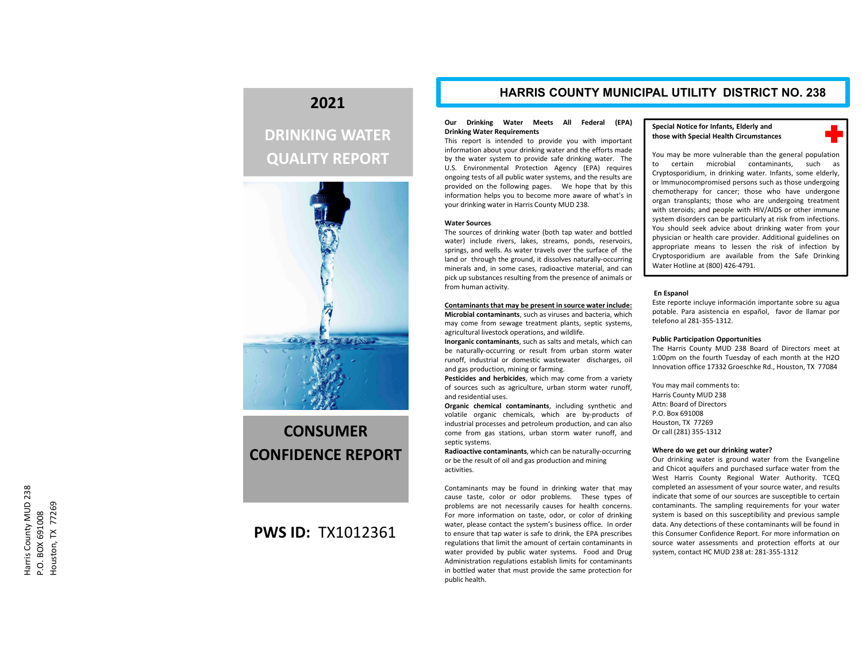## **2021**

## **DRINKING WATER QUALITY REPORT**



# **CONSUMERCONFIDENCE REPORT**

## **PWS ID:** TX1012361

### **HARRIS COUNTY MUNICIPAL UTILITY DISTRICT NO. 238**

#### **Our Drinking Water Meets All Federal (EPA) Drinking Water Requirements**

This report is intended to provide you with important information about your drinking water and the efforts made by the water system to provide safe drinking water. The U.S. Environmental Protection Agency (EPA) requires ongoing tests of all public water systems, and the results are provided on the following pages. We hope that by this information helps you to become more aware of what's in your drinking water in Harris County MUD 238.

#### **Water Sources**

The sources of drinking water (both tap water and bottled water) include rivers, lakes, streams, ponds, reservoirs, springs, and wells. As water travels over the surface of the land or through the ground, it dissolves naturally‐occurring minerals and, in some cases, radioactive material, and can pick up substances resulting from the presence of animals or from human activity.

#### **Contaminants that may be present in source water include:**

**Microbial contaminants**, such as viruses and bacteria, which may come from sewage treatment plants, septic systems, agricultural livestock operations, and wildlife.

**Inorganic contaminants**, such as salts and metals, which can be naturally‐occurring or result from urban storm water runoff, industrial or domestic wastewater discharges, oil and gas production, mining or farming.

**Pesticides and herbicides**, which may come from <sup>a</sup> variety of sources such as agriculture, urban storm water runoff, and residential uses.

**Organic chemical contaminants**, including synthetic and volatile organic chemicals, which are by‐products of industrial processes and petroleum production, and can also come from gas stations, urban storm water runoff, and septic systems.

**Radioactive contaminants**, which can be naturally‐occurring or be the result of oil and gas production and mining activities.

Contaminants may be found in drinking water that may cause taste, color or odor problems. These types of problems are not necessarily causes for health concerns. For more information on taste, odor, or color of drinking water, please contact the system's business office. In order to ensure that tap water is safe to drink, the EPA prescribes regulations that limit the amount of certain contaminants in water provided by public water systems. Food and Drug Administration regulations establish limits for contaminants in bottled water that must provide the same protection for public health.

#### **Special Notice for Infants, Elderly and those with Special Health Circumstances**



You may be more vulnerable than the general population to certain microbial contaminants, such as Cryptosporidium, in drinking water. Infants, some elderly, or Immunocompromised persons such as those undergoing chemotherapy for cancer; those who have undergone organ transplants; those who are undergoing treatment with steroids; and people with HIV/AIDS or other immune system disorders can be particularly at risk from infections. You should seek advice about drinking water from your physician or health care provider. Additional guidelines on appropriate means to lessen the risk of infection by Cryptosporidium are available from the Safe Drinking Water Hotline at (800) 426‐4791.

#### **En Espanol**

Este reporte incluye información importante sobre su agua potable. Para asistencia en español, favor de llamar por telefono al 281‐355‐1312.

#### **Public Participation Opportunities**

The Harris County MUD 238 Board of Directors meet at 1:00pm on the fourth Tuesday of each month at the H2O Innovation office 17332 Groeschke Rd., Houston, TX 77084

You may mail comments to: Harris County MUD 238 Attn: Board of DirectorsP.O. Box 691008Houston, TX 77269 Or call (281) 355‐1312

#### **Where do we get our drinking water?**

Our drinking water is ground water from the Evangeline and Chicot aquifers and purchased surface water from the West Harris County Regional Water Authority. TCEQ completed an assessment of your source water, and results indicate that some of our sources are susceptible to certain contaminants. The sampling requirements for your water system is based on this susceptibility and previous sample data. Any detections of these contaminants will be found in this Consumer Confidence Report. For more information on source water assessments and protection efforts at our system, contact HC MUD 238 at: 281‐355‐1312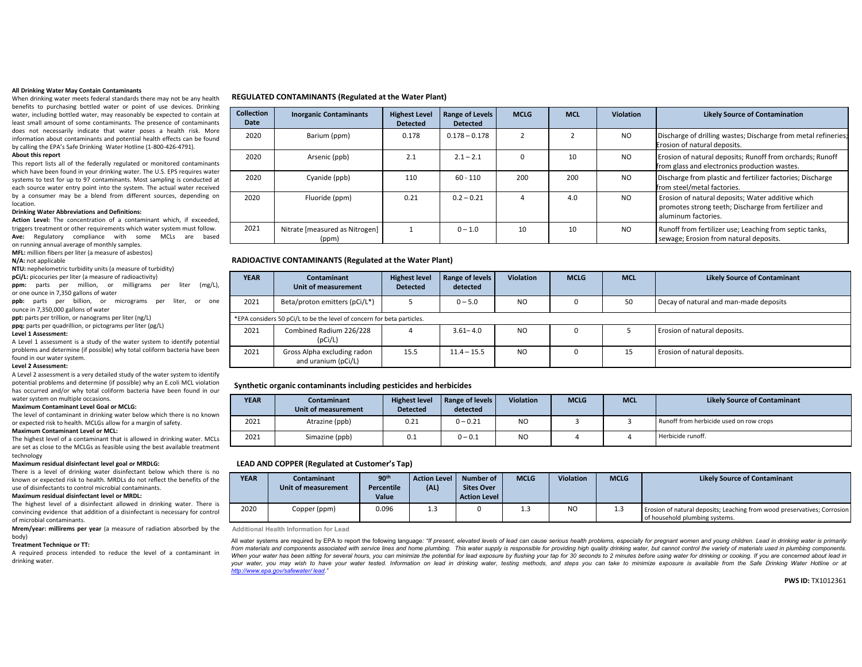#### **All Drinking Water May Contain Contaminants**

When drinking water meets federal standards there may not be any health benefits to purchasing bottled water or point of use devices. Drinking water, including bottled water, may reasonably be expected to contain at least small amount of some contaminants. The presence of contaminants does not necessarily indicate that water poses <sup>a</sup> health risk. More information about contaminants and potential health effects can be found by calling the EPA's Safe Drinking Water Hotline (1‐800‐426‐4791).

#### **About this report**

This report lists all of the federally regulated or monitored contaminants which have been found in your drinking water. The U.S. EPS requires water systems to test for up to 97 contaminants. Most sampling is conducted at each source water entry point into the system. The actual water received by <sup>a</sup> consumer may be <sup>a</sup> blend from different sources, depending on location.

#### **Drinking Water Abbreviations and Definitions:**

**Action Level:** The concentration of <sup>a</sup> contaminant which, if exceeded, triggers treatment or other requirements which water system must follow. **Ave:** Regulatory compliance with some MCLs are based on running annual average of monthly samples.

**MFL:** million fibers per liter (a measure of asbestos)

#### **N/A:** not applicable

**NTU:** nephelometric turbidity units (a measure of turbidity)

**pCi/L:** picocuries per liter (a measure of radioactivity)

**ppm:** parts per million, or milligrams per liter (mg/L), or one ounce in 7,350 gallons of water

**ppb:** parts per billion, or micrograms per liter, or one ounce in 7,350,000 gallons of water

**ppt:** parts per trillion, or nanograms per liter (ng/L)

**ppq:** parts per quadrillion, or pictograms per liter (pg/L)

#### **Level 1 Assessment:**

A Level 1 assessment is <sup>a</sup> study of the water system to identify potential problems and determine (if possible) why total coliform bacteria have been found in our water system.

#### **Level 2 Assessment:**

A Level 2 assessment is <sup>a</sup> very detailed study of the water system to identify potential problems and determine (if possible) why an E.coli MCL violation has occurred and/or why total coliform bacteria have been found in our water system on multiple occasions.

#### **Maximum Contaminant Level Goal or MCLG:**

The level of contaminant in drinking water below which there is no known or expected risk to health. MCLGs allow for <sup>a</sup> margin of safety.

#### **Maximum Contaminant Level or MCL:**

The highest level of <sup>a</sup> contaminant that is allowed in drinking water. MCLs are set as close to the MCLGs as feasible using the best available treatment technology

#### **Maximum residual disinfectant level goal or MRDLG:**

There is <sup>a</sup> level of drinking water disinfectant below which there is no known or expected risk to health. MRDLs do not reflect the benefits of the use of disinfectants to control microbial contaminants.

#### **Maximum residual disinfectant level or MRDL:**

The highest level of <sup>a</sup> disinfectant allowed in drinking water. There is convincing evidence that addition of <sup>a</sup> disinfectant is necessary for control of microbial contaminants.

**Mrem/year: millirems per year** (a measure of radiation absorbed by the body)

#### **Treatment Technique or TT:**

A required process intended to reduce the level of <sup>a</sup> contaminant in drinking water.

#### **REGULATED CONTAMINANTS (Regulated at the Water Plant)**

| <b>Collection</b><br>Date | <b>Inorganic Contaminants</b>           | <b>Highest Level</b><br><b>Detected</b> | Range of Levels<br><b>Detected</b> | <b>MCLG</b> | <b>MCL</b> | <b>Violation</b> | <b>Likely Source of Contamination</b>                                                                                            |
|---------------------------|-----------------------------------------|-----------------------------------------|------------------------------------|-------------|------------|------------------|----------------------------------------------------------------------------------------------------------------------------------|
| 2020                      | Barium (ppm)                            | 0.178                                   | $0.178 - 0.178$                    |             |            | <b>NO</b>        | Discharge of drilling wastes; Discharge from metal refineries;<br>Erosion of natural deposits.                                   |
| 2020                      | Arsenic (ppb)                           | 2.1                                     | $2.1 - 2.1$                        | ŋ           | 10         | <b>NO</b>        | Erosion of natural deposits; Runoff from orchards; Runoff<br>from glass and electronics production wastes.                       |
| 2020                      | Cyanide (ppb)                           | 110                                     | $60 - 110$                         | 200         | 200        | <b>NO</b>        | Discharge from plastic and fertilizer factories; Discharge<br>from steel/metal factories.                                        |
| 2020                      | Fluoride (ppm)                          | 0.21                                    | $0.2 - 0.21$                       |             | 4.0        | NO.              | Erosion of natural deposits; Water additive which<br>promotes strong teeth; Discharge from fertilizer and<br>aluminum factories. |
| 2021                      | Nitrate [measured as Nitrogen]<br>(ppm) |                                         | $0 - 1.0$                          | 10          | 10         | <b>NO</b>        | Runoff from fertilizer use; Leaching from septic tanks,<br>sewage; Erosion from natural deposits.                                |

#### **RADIOACTIVE CONTAMINANTS (Regulated at the Water Plant)**

| <b>YEAR</b> | <b>Contaminant</b><br>Unit of measurement                              | <b>Highest level</b><br><b>Detected</b> | Range of levels<br>detected | <b>Violation</b> | <b>MCLG</b> | <b>MCL</b> | <b>Likely Source of Contaminant</b>    |
|-------------|------------------------------------------------------------------------|-----------------------------------------|-----------------------------|------------------|-------------|------------|----------------------------------------|
| 2021        | Beta/proton emitters (pCi/L*)                                          |                                         | $0 - 5.0$                   | N <sub>O</sub>   | $\Omega$    | 50         | Decay of natural and man-made deposits |
|             | *EPA considers 50 pCi/L to be the level of concern for beta particles. |                                         |                             |                  |             |            |                                        |
| 2021        | Combined Radium 226/228<br>(pCi/L)                                     |                                         | $3.61 - 4.0$                | N <sub>O</sub>   | O           |            | Erosion of natural deposits.           |
| 2021        | Gross Alpha excluding radon<br>and uranium (pCi/L)                     | 15.5                                    | $11.4 - 15.5$               | N <sub>O</sub>   | O           | 15         | Erosion of natural deposits.           |

#### **Synthetic organic contaminants including pesticides and herbicides**

| <b>YEAR</b> | <b>Contaminant</b><br>Unit of measurement | <b>Highest level</b><br><b>Detected</b> | Range of levels<br>detected | <b>Violation</b> | <b>MCLG</b> | <b>MCL</b> | <b>Likely Source of Contaminant</b>     |
|-------------|-------------------------------------------|-----------------------------------------|-----------------------------|------------------|-------------|------------|-----------------------------------------|
| 2021        | Atrazine (ppb)                            | 0.21                                    | $0 - 0.21$                  | N <sub>O</sub>   |             |            | Runoff from herbicide used on row crops |
| 2021        | Simazine (ppb)                            | 0.1                                     | $0 - 0.1$                   | N <sub>O</sub>   |             |            | Herbicide runoff.                       |

#### **LEAD AND COPPER (Regulated at Customer's Tap)**

| <b>YEAR</b> | <b>Contaminant</b><br>Unit of measurement | 90 <sup>th</sup><br><b>Percentile</b><br>Value | <b>Action Level</b><br>(AL) | Number of<br><b>Sites Over</b><br><b>Action Level</b> | <b>MCLG</b> | <b>Violation</b> | <b>MCLG</b> | <b>Likely Source of Contaminant</b>                                                                        |
|-------------|-------------------------------------------|------------------------------------------------|-----------------------------|-------------------------------------------------------|-------------|------------------|-------------|------------------------------------------------------------------------------------------------------------|
| 2020        | Copper (ppm)                              | 0.096                                          | 1.3                         |                                                       | 1.3         | N <sub>O</sub>   | 1.3         | Erosion of natural deposits; Leaching from wood preservatives; Corrosion<br>of household plumbing systems. |

**Additional Health Information for Lead**

All water systems are required by EPA to report the following language: "If present, elevated levels of lead can cause serious health problems, especially for pregnant women and young children. Lead in drinking water is pr from materials and components associated with service lines and home plumbing. This water supply is responsible for providing high quality drinking water, but cannot control the variety of materials used in plumbing compon When your water has been sitting for several hours, you can minimize the potential for lead exposure by flushing your tap for 30 seconds to 2 minutes before using water for drinking or cooking. If you are concerned about l your water, you may wish to have your water tested. Information on lead in drinking water, testing methods, and steps you can take to minimize exposure is available from the Safe Drinking Water Hotline or at *http://www.epa.gov/safewater/ lead."*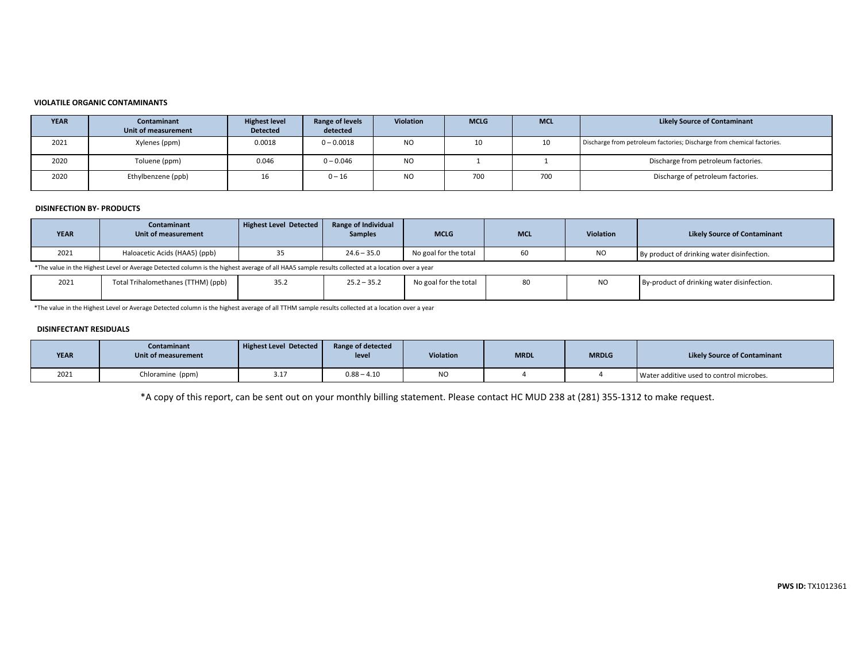#### **VIOLATILE ORGANIC CONTAMINANTS**

| <b>YEAR</b> | Contaminant<br>Unit of measurement | <b>Highest level</b><br><b>Detected</b> | Range of levels<br>detected | <b>Violation</b> | <b>MCLG</b> | <b>MCL</b> | <b>Likely Source of Contaminant</b>                                    |
|-------------|------------------------------------|-----------------------------------------|-----------------------------|------------------|-------------|------------|------------------------------------------------------------------------|
| 2021        | Xylenes (ppm)                      | 0.0018                                  | $0 - 0.0018$                | <b>NO</b>        | 10          | 10         | Discharge from petroleum factories; Discharge from chemical factories. |
| 2020        | Toluene (ppm)                      | 0.046                                   | $0 - 0.046$                 | <b>NO</b>        |             |            | Discharge from petroleum factories.                                    |
| 2020        | Ethylbenzene (ppb)                 | 16                                      | $0 - 16$                    | <b>NO</b>        | 700         | 700        | Discharge of petroleum factories.                                      |

#### **DISINFECTION BY‐ PRODUCTS**

| <b>YEAR</b> | Contaminant<br>Unit of measurement                                                                                                                | Highest Level Detected | Range of Individual<br><b>Samples</b> | <b>MCLG</b>           | <b>MCL</b> | <b>Violation</b> | <b>Likely Source of Contaminant</b>        |  |  |  |  |  |
|-------------|---------------------------------------------------------------------------------------------------------------------------------------------------|------------------------|---------------------------------------|-----------------------|------------|------------------|--------------------------------------------|--|--|--|--|--|
| 2021        | Haloacetic Acids (HAA5) (ppb)                                                                                                                     |                        | $24.6 - 35.0$                         | No goal for the total |            | NC               | By product of drinking water disinfection. |  |  |  |  |  |
|             | *The value in the Highest Level or Average Detected column is the bighest average of all HAAE sample results collected at a lecation over a vear. |                        |                                       |                       |            |                  |                                            |  |  |  |  |  |

\*The value in the Highest Level or Average Detected column is the highest average of all HAA5 sample results collected at <sup>a</sup> location over <sup>a</sup> year

| 2021 | Total Trihalomethanes (1<br>′ <sup>т</sup> ТНМ) (ppb) | ے.رر | $25.2 - 35.2$ | No goal for the total | $\sim$<br>יצו | By-product of drinking water disinfection. |
|------|-------------------------------------------------------|------|---------------|-----------------------|---------------|--------------------------------------------|
|      |                                                       |      |               |                       |               |                                            |

\*The value in the Highest Level or Average Detected column is the highest average of all TTHM sample results collected at <sup>a</sup> location over <sup>a</sup> year

#### **DISINFECTANT RESIDUALS**

| <b>YEAR</b> | Contaminant<br>Unit of measurement | Highest Level Detected | Range of detected<br>leve | Violation | <b>MRDL</b> | <b>MRDLG</b> | <b>Likely Source of Contaminant</b>      |
|-------------|------------------------------------|------------------------|---------------------------|-----------|-------------|--------------|------------------------------------------|
| 2021        | Chloramine (ppm)                   | 3.17                   | $0.88 - 4.10$             | <b>NO</b> |             |              | Water additive used to control microbes. |

\*A copy of this report, can be sent out on your monthly billing statement. Please contact HC MUD 238 at (281) 355‐1312 to make request.